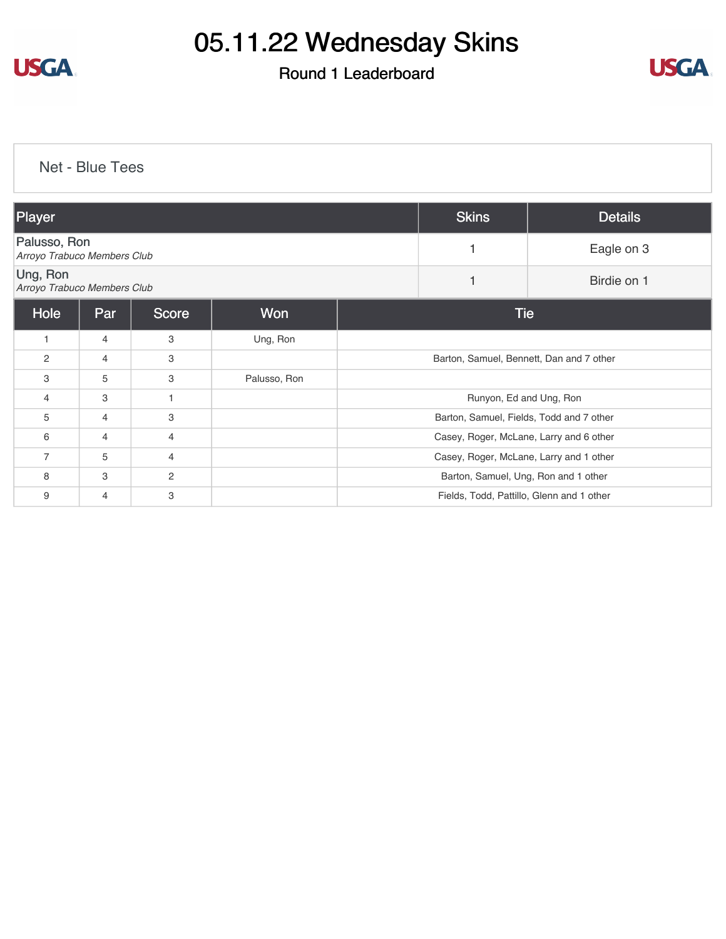

# 05.11.22 Wednesday Skins

## Round 1 Leaderboard



Net - Blue Tees

| Player                                      |                |                |              | <b>Skins</b>                              | <b>Details</b>                       |             |  |
|---------------------------------------------|----------------|----------------|--------------|-------------------------------------------|--------------------------------------|-------------|--|
| Palusso, Ron<br>Arroyo Trabuco Members Club |                |                |              |                                           | 1                                    | Eagle on 3  |  |
| Ung, Ron<br>Arroyo Trabuco Members Club     |                |                |              |                                           | 1                                    | Birdie on 1 |  |
| Hole                                        | Par            | <b>Score</b>   | Won          | <b>Tie</b>                                |                                      |             |  |
| $\mathbf{1}$                                | $\overline{4}$ | 3              | Ung, Ron     |                                           |                                      |             |  |
| $\mathbf{2}$                                | $\overline{4}$ | 3              |              | Barton, Samuel, Bennett, Dan and 7 other  |                                      |             |  |
| 3                                           | 5              | 3              | Palusso, Ron |                                           |                                      |             |  |
| 4                                           | 3              |                |              | Runyon, Ed and Ung, Ron                   |                                      |             |  |
| 5                                           | 4              | 3              |              | Barton, Samuel, Fields, Todd and 7 other  |                                      |             |  |
| 6                                           | $\overline{4}$ | $\overline{4}$ |              | Casey, Roger, McLane, Larry and 6 other   |                                      |             |  |
| $\overline{7}$                              | 5              | 4              |              | Casey, Roger, McLane, Larry and 1 other   |                                      |             |  |
| 8                                           | 3              | 2              |              |                                           | Barton, Samuel, Ung, Ron and 1 other |             |  |
| 9                                           | 4              | 3              |              | Fields, Todd, Pattillo, Glenn and 1 other |                                      |             |  |